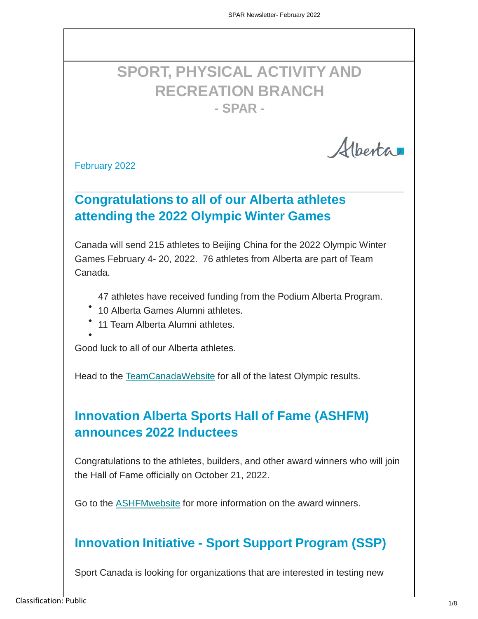# **SPORT, PHYSICAL ACTIVITY AND RECREATION BRANCH - SPAR -**

Alberta

February 2022

### **Congratulations to all of our Alberta athletes attending the 2022 Olympic Winter Games**

Canada will send 215 athletes to Beijing China for the 2022 Olympic Winter Games February 4- 20, 2022. 76 athletes from Alberta are part of Team Canada.

- 47 athletes have received funding from the Podium Alberta Program.
- 10 Alberta Games Alumni athletes.
- 11 Team Alberta Alumni athletes.
- 

Good luck to all of our Alberta athletes.

Head to the [TeamCanadaWebsite](https://olympic.ca/) for all of the latest Olympic results.

# **Innovation Alberta Sports Hall of Fame (ASHFM) announces 2022 Inductees**

Congratulations to the athletes, builders, and other award winners who will join the Hall of Fame officially on October 21, 2022.

Go to the [ASHFMwebsite](https://can01.safelinks.protection.outlook.com/?url=https%3A%2F%2Fwww.albertasportshall.ca%2Fpost%2Falberta-sports-hall-of-fame-introduces-2022-inductees&data=04%7C01%7Csheri.wilson%40gov.ab.ca%7C6c4470999714436e9bf708d9ecbc53a9%7C2bb51c06af9b42c58bf53c3b7b10850b%7C0%7C0%7C637801115858597434%7CUnknown%7CTWFpbGZsb3d8eyJWIjoiMC4wLjAwMDAiLCJQIjoiV2luMzIiLCJBTiI6Ik1haWwiLCJXVCI6Mn0%3D%7C3000&sdata=R4oHC89pp2AXgeiX2D1cxl3QEnVQb3sVKcl6XSXTWPg%3D&reserved=0) for more information on the award winners.

#### **Innovation Initiative - Sport Support Program (SSP)**

Sport Canada is looking for organizations that are interested in testing new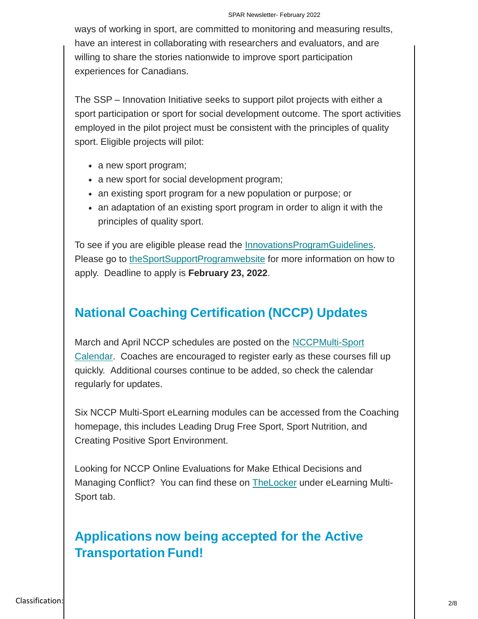ways of working in sport, are committed to monitoring and measuring results, have an interest in collaborating with researchers and evaluators, and are willing to share the stories nationwide to improve sport participation experiences for Canadians.

The SSP – Innovation Initiative seeks to support pilot projects with either a sport participation or sport for social development outcome. The sport activities employed in the pilot project must be consistent with the principles of quality sport. Eligible projects will pilot:

- a new sport program;
- a new sport for social development program;
- an existing sport program for a new population or purpose; or
- an adaptation of an existing sport program in order to align it with the principles of quality sport.

To see if you are eligible please read the [InnovationsProgramGuidelines.](https://www.canada.ca/en/canadian-heritage/services/funding/sport-support/innovation-initiative/application-guidelines.html) Please go to [theSportSupportProgramwebsite](https://www.canada.ca/en/canadian-heritage/services/funding/sport-support/innovation-initiative.html) for more information on how to apply. Deadline to apply is **February 23, 2022**.

#### **National Coaching Certification (NCCP) Updates**

[March and April NCCP schedules are posted on the NCCPMulti-Sport](https://albertasport.ca/coaching/nccp-multi-sport-module-calendar/) Calendar. [Coaches are encouraged to](https://albertasport.ca/coaching/nccp-multi-sport-module-calendar/) register early as these courses fill up quickly. Additional courses continue to be added, so check the calendar regularly for updates.

Six NCCP Multi-Sport eLearning modules can be accessed from the Coaching homepage, this includes Leading Drug Free Sport, Sport Nutrition, and Creating Positive Sport Environment.

Looking for NCCP Online Evaluations for Make Ethical Decisions and Managing Conflict? You can find these on [TheLocker](https://thelocker.coach.ca/account/login?ReturnUrl=%2f) under eLearning Multi-Sport tab.

### **Applications now being accepted for the Active Transportation Fund!**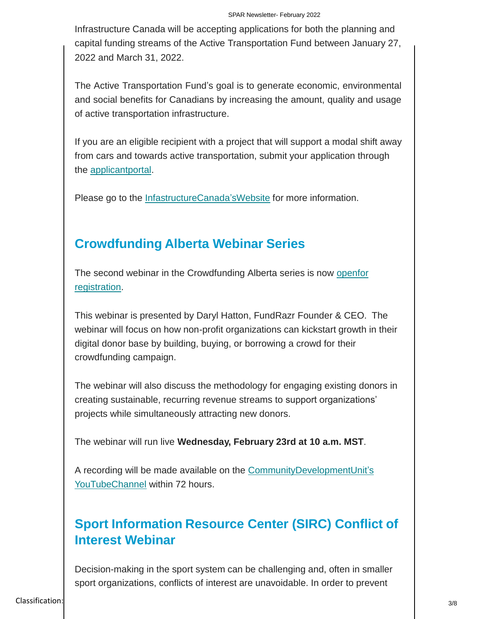Infrastructure Canada will be accepting applications for both the planning and capital funding streams of the Active Transportation Fund between January 27, 2022 and March 31, 2022.

The Active Transportation Fund's goal is to generate economic, environmental and social benefits for Canadians by increasing the amount, quality and usage of active transportation infrastructure.

If you are an eligible recipient with a project that will support a modal shift away from cars and towards active transportation, submit your application through the [applicantportal.](https://infrastructure-applicant.canada.ca/en/)

Please go to the [InfastructureCanada'sWebsite](https://www.infrastructure.gc.ca/trans/index-eng.html) for more information.

#### **Crowdfunding Alberta Webinar Series**

[The second webinar in the Crowdfunding Alberta series is now openfor](https://can01.safelinks.protection.outlook.com/?url=https%3A%2F%2Fwww.eventbrite.ca%2Fe%2Fbuilding-a-crowd-a-crowdfunding-alberta-webinar-registration-262606652567%3Futm-campaign%3Dsocial%26utm-content%3Dattendeeshare%26utm-medium%3Ddiscovery%26utm-term%3Dlisting%26utm-source%3Dcp%26aff%3Descb&data=04%7C01%7Csheri.wilson%40gov.ab.ca%7C4a21a44ba7c54b4dad8c08d9eb1c1d90%7C2bb51c06af9b42c58bf53c3b7b10850b%7C0%7C0%7C637799328246881789%7CUnknown%7CTWFpbGZsb3d8eyJWIjoiMC4wLjAwMDAiLCJQIjoiV2luMzIiLCJBTiI6Ik1haWwiLCJXVCI6Mn0%3D%7C3000&sdata=Lx06T49aE0a4s1eCz2XO4Vhh7EthGEKZhhMwXat7Lag%3D&reserved=0) [registration.](https://can01.safelinks.protection.outlook.com/?url=https%3A%2F%2Fwww.eventbrite.ca%2Fe%2Fbuilding-a-crowd-a-crowdfunding-alberta-webinar-registration-262606652567%3Futm-campaign%3Dsocial%26utm-content%3Dattendeeshare%26utm-medium%3Ddiscovery%26utm-term%3Dlisting%26utm-source%3Dcp%26aff%3Descb&data=04%7C01%7Csheri.wilson%40gov.ab.ca%7C4a21a44ba7c54b4dad8c08d9eb1c1d90%7C2bb51c06af9b42c58bf53c3b7b10850b%7C0%7C0%7C637799328246881789%7CUnknown%7CTWFpbGZsb3d8eyJWIjoiMC4wLjAwMDAiLCJQIjoiV2luMzIiLCJBTiI6Ik1haWwiLCJXVCI6Mn0%3D%7C3000&sdata=Lx06T49aE0a4s1eCz2XO4Vhh7EthGEKZhhMwXat7Lag%3D&reserved=0)

This webinar is presented by Daryl Hatton, FundRazr Founder & CEO. The webinar will focus on how non-profit organizations can kickstart growth in their digital donor base by building, buying, or borrowing a crowd for their crowdfunding campaign.

The webinar will also discuss the methodology for engaging existing donors in creating sustainable, recurring revenue streams to support organizations' projects while simultaneously attracting new donors.

The webinar will run live **Wednesday, February 23rd at 10 a.m. MST**.

A [recording will be made available on the CommunityDevelopmentUnit's](https://can01.safelinks.protection.outlook.com/?url=https%3A%2F%2Fwww.youtube.com%2Fc%2FAlbertaCDU%2Ffeatured&data=04%7C01%7Csheri.wilson%40gov.ab.ca%7C4a21a44ba7c54b4dad8c08d9eb1c1d90%7C2bb51c06af9b42c58bf53c3b7b10850b%7C0%7C0%7C637799328246881789%7CUnknown%7CTWFpbGZsb3d8eyJWIjoiMC4wLjAwMDAiLCJQIjoiV2luMzIiLCJBTiI6Ik1haWwiLCJXVCI6Mn0%3D%7C3000&sdata=z3x58OoveErgvPuU4ah%2F%2BVtkAkdTT3%2BWnvO9ycxo3F8%3D&reserved=0) [YouTubeChannel](https://can01.safelinks.protection.outlook.com/?url=https%3A%2F%2Fwww.youtube.com%2Fc%2FAlbertaCDU%2Ffeatured&data=04%7C01%7Csheri.wilson%40gov.ab.ca%7C4a21a44ba7c54b4dad8c08d9eb1c1d90%7C2bb51c06af9b42c58bf53c3b7b10850b%7C0%7C0%7C637799328246881789%7CUnknown%7CTWFpbGZsb3d8eyJWIjoiMC4wLjAwMDAiLCJQIjoiV2luMzIiLCJBTiI6Ik1haWwiLCJXVCI6Mn0%3D%7C3000&sdata=z3x58OoveErgvPuU4ah%2F%2BVtkAkdTT3%2BWnvO9ycxo3F8%3D&reserved=0) within 72 hours.

## **Sport Information Resource Center (SIRC) Conflict of Interest Webinar**

Decision-making in the sport system can be challenging and, often in smaller sport organizations, conflicts of interest are unavoidable. In order to prevent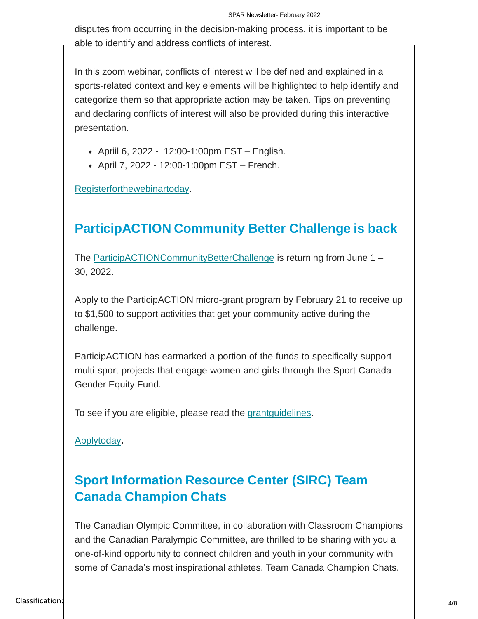disputes from occurring in the decision-making process, it is important to be able to identify and address conflicts of interest.

In this zoom webinar, conflicts of interest will be defined and explained in a sports-related context and key elements will be highlighted to help identify and categorize them so that appropriate action may be taken. Tips on preventing and declaring conflicts of interest will also be provided during this interactive presentation.

- Apriil 6, 2022 12:00-1:00pm EST English.
- April 7, 2022 12:00-1:00pm EST French.

[Registerforthewebinartoday.](https://www.surveymonkey.com/r/F6GGQFG)

#### **ParticipACTION Community Better Challenge is back**

The [ParticipACTIONCommunityBetterChallenge](https://www.participaction.com/en-ca/programs/community-challenge) is returning from June 1 – 30, 2022.

Apply to the ParticipACTION micro-grant program by February 21 to receive up to \$1,500 to support activities that get your community active during the challenge.

ParticipACTION has earmarked a portion of the funds to specifically support multi-sport projects that engage women and girls through the Sport Canada Gender Equity Fund.

To see if you are eligible, please read the [grantguidelines.](https://can01.safelinks.protection.outlook.com/?url=https%3A%2F%2Fparticipaction.cdn.prismic.io%2Fparticipaction%2Fcf916bba-2949-4a0f-b315-dc7859a5fb67_2022%2BCommunity%2BBetter%2BChallenge%2BGrant%2BApplication%2BGuidelines%2BFINAL.pdf&data=04%7C01%7Csheri.wilson%40gov.ab.ca%7Ccc59590716cc4835c0f408d9e5a81906%7C2bb51c06af9b42c58bf53c3b7b10850b%7C0%7C0%7C637793332393731275%7CUnknown%7CTWFpbGZsb3d8eyJWIjoiMC4wLjAwMDAiLCJQIjoiV2luMzIiLCJBTiI6Ik1haWwiLCJXVCI6Mn0%3D%7C3000&sdata=Axz6LvpgHvKwulajxfg9%2B7KplU7FH%2F3VJdPgPiZ9vmo%3D&reserved=0)

[Applytoday](https://www.surveymonkey.com/r/YJ3XJK3)**.**

## **Sport Information Resource Center (SIRC) Team Canada Champion Chats**

The Canadian Olympic Committee, in collaboration with Classroom Champions and the Canadian Paralympic Committee, are thrilled to be sharing with you a one-of-kind opportunity to connect children and youth in your community with some of Canada's most inspirational athletes, Team Canada Champion Chats.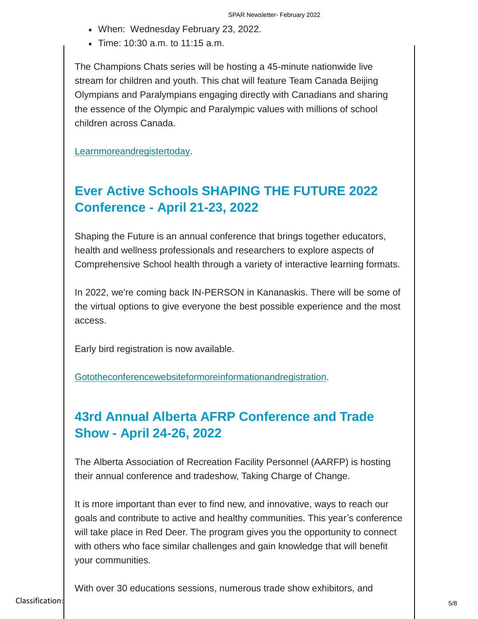- When: Wednesday February 23, 2022.
- $\bullet$  Time: 10:30 a.m. to 11:15 a.m.

The Champions Chats series will be hosting a 45-minute nationwide live stream for children and youth. This chat will feature Team Canada Beijing Olympians and Paralympians engaging directly with Canadians and sharing the essence of the Olympic and Paralympic values with millions of school children across Canada.

[Learnmoreandregistertoday.](https://sirc.ca/events/events-conferences/team-canada-champion-chats-2/)

### **Ever Active Schools SHAPING THE FUTURE 2022 Conference - April 21-23, 2022**

Shaping the Future is an annual conference that brings together educators, health and wellness professionals and researchers to explore aspects of Comprehensive School health through a variety of interactive learning formats.

In 2022, we're coming back IN-PERSON in Kananaskis. There will be some of the virtual options to give everyone the best possible experience and the most access.

Early bird registration is now available.

[Gototheconferencewebsiteformoreinformationandregistration.](https://everactive.org/events/stf/)

## **43rd Annual Alberta AFRP Conference and Trade Show - April 24-26, 2022**

The Alberta Association of Recreation Facility Personnel (AARFP) is hosting their annual conference and tradeshow, Taking Charge of Change.

It is more important than ever to find new, and innovative, ways to reach our goals and contribute to active and healthy communities. This year's conference will take place in Red Deer. The program gives you the opportunity to connect with others who face similar challenges and gain knowledge that will benefit your communities.

With over 30 educations sessions, numerous trade show exhibitors, and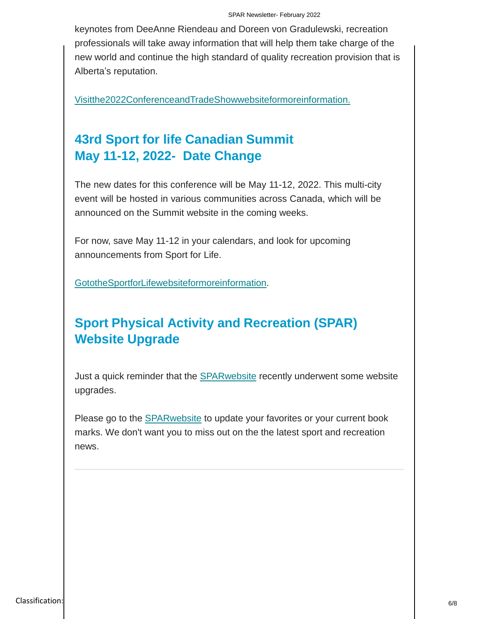keynotes from DeeAnne Riendeau and Doreen von Gradulewski, recreation professionals will take away information that will help them take charge of the new world and continue the high standard of quality recreation provision that is Alberta's reputation.

[Visitthe2022ConferenceandTradeShowwebsiteformoreinformation.](https://pheedloop.com/AARFP/site/home/)

# **43rd Sport for life Canadian Summit May 11-12, 2022- Date Change**

The new dates for this conference will be May 11-12, 2022. This multi-city event will be hosted in various communities across Canada, which will be announced on the Summit website in the coming weeks.

For now, save May 11-12 in your calendars, and look for upcoming announcements from Sport for Life.

[GototheSportforLifewebsiteformoreinformation.](https://sportforlife.ca/blog/save-the-date-2022-sport-for-life-canadian-summit/)

# **Sport Physical Activity and Recreation (SPAR) Website Upgrade**

Just a quick reminder that the [SPARwebsite](https://albertasport.ca/) recently underwent some website upgrades.

Please go to the [SPARwebsite](https://albertasport.ca/) to update your favorites or your current book marks. We don't want you to miss out on the the latest sport and recreation news.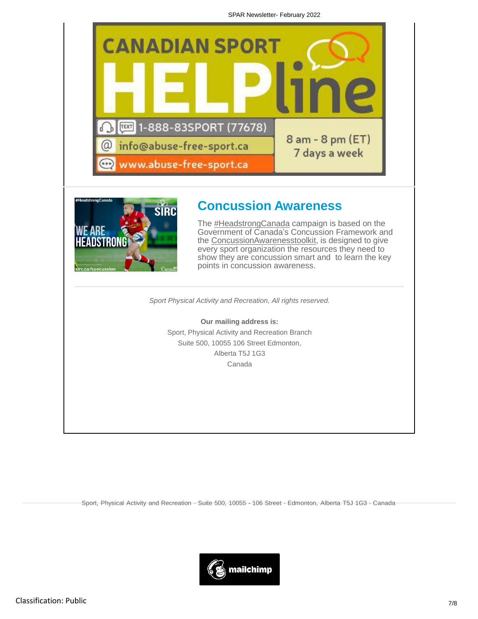SPAR Newsletter- February 2022





### **Concussion Awareness**

The [#HeadstrongCanada](https://twitter.com/hashtag/headstrongcanada) campaign is based on the Government of Canada's Concussion Framework and the [ConcussionAwarenesstoolkit,](https://sirc.ca/concussion) is designed to give every sport organization the resources they need to show they are concussion smart and to learn the key points in concussion awareness.

*Sport Physical Activity and Recreation, All rights reserved.*

**Our mailing address is:** Sport, Physical Activity and Recreation Branch Suite 500, 10055 106 Street Edmonton, Alberta T5J 1G3 Canada

Sport, Physical Activity and Recreation · Suite 500, 10055 - 106 Street · Edmonton, Alberta T5J 1G3 · Canada